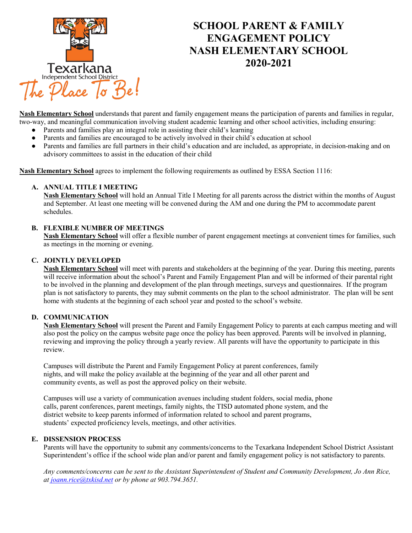

# **SCHOOL PARENT & FAMILY ENGAGEMENT POLICY NASH ELEMENTARY SCHOOL 2020-2021**

**Nash Elementary School** understands that parent and family engagement means the participation of parents and families in regular, two-way, and meaningful communication involving student academic learning and other school activities, including ensuring:

- Parents and families play an integral role in assisting their child's learning<br>● Parents and families are encouraged to be actively involved in their child's
- Parents and families are encouraged to be actively involved in their child's education at school
- Parents and families are full partners in their child's education and are included, as appropriate, in decision-making and on advisory committees to assist in the education of their child

**Nash Elementary School** agrees to implement the following requirements as outlined by ESSA Section 1116:

### **A. ANNUAL TITLE I MEETING**

**Nash Elementary School** will hold an Annual Title I Meeting for all parents across the district within the months of August and September. At least one meeting will be convened during the AM and one during the PM to accommodate parent schedules.

#### **B. FLEXIBLE NUMBER OF MEETINGS**

**Nash Elementary School** will offer a flexible number of parent engagement meetings at convenient times for families, such as meetings in the morning or evening.

#### **C. JOINTLY DEVELOPED**

**Nash Elementary School** will meet with parents and stakeholders at the beginning of the year. During this meeting, parents will receive information about the school's Parent and Family Engagement Plan and will be informed of their parental right to be involved in the planning and development of the plan through meetings, surveys and questionnaires. If the program plan is not satisfactory to parents, they may submit comments on the plan to the school administrator. The plan will be sent home with students at the beginning of each school year and posted to the school's website.

#### **D. COMMUNICATION**

**Nash Elementary School** will present the Parent and Family Engagement Policy to parents at each campus meeting and will also post the policy on the campus website page once the policy has been approved. Parents will be involved in planning, reviewing and improving the policy through a yearly review. All parents will have the opportunity to participate in this review.

Campuses will distribute the Parent and Family Engagement Policy at parent conferences, family nights, and will make the policy available at the beginning of the year and all other parent and community events, as well as post the approved policy on their website.

Campuses will use a variety of communication avenues including student folders, social media, phone calls, parent conferences, parent meetings, family nights, the TISD automated phone system, and the district website to keep parents informed of information related to school and parent programs, students' expected proficiency levels, meetings, and other activities.

#### **E. DISSENSION PROCESS**

Parents will have the opportunity to submit any comments/concerns to the Texarkana Independent School District Assistant Superintendent's office if the school wide plan and/or parent and family engagement policy is not satisfactory to parents.

*Any comments/concerns can be sent to the Assistant Superintendent of Student and Community Development, Jo Ann Rice, a[t joann.rice@txkisd.net](mailto:joann.rice@txkisd.net) or by phone at 903.794.3651.*